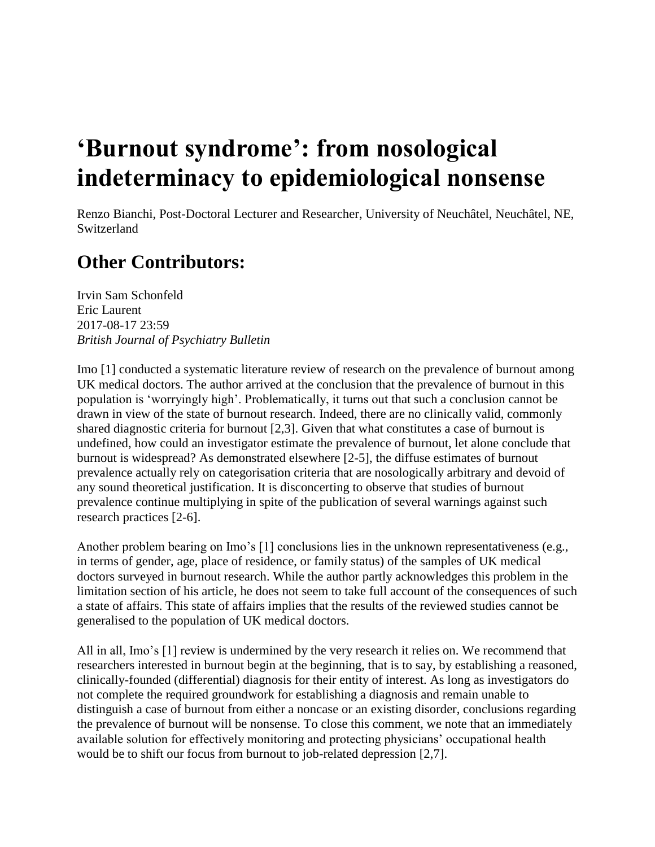## **'Burnout syndrome': from nosological indeterminacy to epidemiological nonsense**

Renzo Bianchi, Post-Doctoral Lecturer and Researcher, University of Neuchâtel, Neuchâtel, NE, **Switzerland** 

## **Other Contributors:**

Irvin Sam Schonfeld Eric Laurent 2017-08-17 23:59 *British Journal of Psychiatry Bulletin*

Imo [1] conducted a systematic literature review of research on the prevalence of burnout among UK medical doctors. The author arrived at the conclusion that the prevalence of burnout in this population is 'worryingly high'. Problematically, it turns out that such a conclusion cannot be drawn in view of the state of burnout research. Indeed, there are no clinically valid, commonly shared diagnostic criteria for burnout [2,3]. Given that what constitutes a case of burnout is undefined, how could an investigator estimate the prevalence of burnout, let alone conclude that burnout is widespread? As demonstrated elsewhere [2-5], the diffuse estimates of burnout prevalence actually rely on categorisation criteria that are nosologically arbitrary and devoid of any sound theoretical justification. It is disconcerting to observe that studies of burnout prevalence continue multiplying in spite of the publication of several warnings against such research practices [2-6].

Another problem bearing on Imo's [1] conclusions lies in the unknown representativeness (e.g., in terms of gender, age, place of residence, or family status) of the samples of UK medical doctors surveyed in burnout research. While the author partly acknowledges this problem in the limitation section of his article, he does not seem to take full account of the consequences of such a state of affairs. This state of affairs implies that the results of the reviewed studies cannot be generalised to the population of UK medical doctors.

All in all, Imo's [1] review is undermined by the very research it relies on. We recommend that researchers interested in burnout begin at the beginning, that is to say, by establishing a reasoned, clinically-founded (differential) diagnosis for their entity of interest. As long as investigators do not complete the required groundwork for establishing a diagnosis and remain unable to distinguish a case of burnout from either a noncase or an existing disorder, conclusions regarding the prevalence of burnout will be nonsense. To close this comment, we note that an immediately available solution for effectively monitoring and protecting physicians' occupational health would be to shift our focus from burnout to job-related depression [2,7].